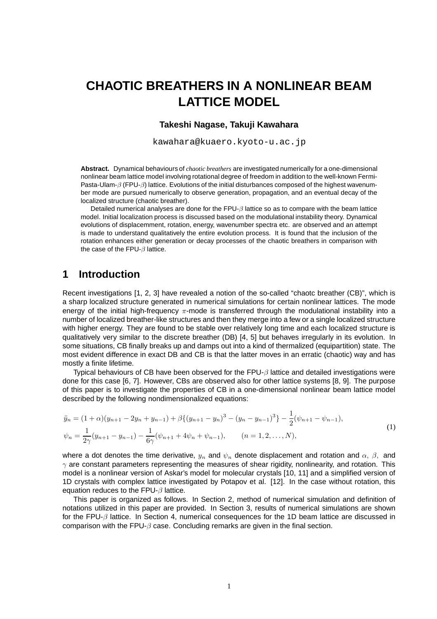# **CHAOTIC BREATHERS IN A NONLINEAR BEAM LATTICE MODEL**

#### **Takeshi Nagase, Takuji Kawahara**

kawahara@kuaero.kyoto-u.ac.jp

**Abstract.** Dynamical behaviours of *chaotic breathers* are investigated numerically for a one-dimensional nonlinear beam lattice model involving rotational degree of freedom in addition to the well-known Fermi-Pasta-Ulam- $\beta$  (FPU- $\beta$ ) lattice. Evolutions of the initial disturbances composed of the highest wavenumber mode are pursued numerically to observe generation, propagation, and an eventual decay of the localized structure (chaotic breather).

Detailed numerical analyses are done for the FPU- $\beta$  lattice so as to compare with the beam lattice model. Initial localization process is discussed based on the modulational instability theory. Dynamical evolutions of displacemment, rotation, energy, wavenumber spectra etc. are observed and an attempt is made to understand qualitatively the entire evolution process. It is found that the inclusion of the rotation enhances either generation or decay processes of the chaotic breathers in comparison with the case of the FPU-β lattice.

# **1 Introduction**

Recent investigations [1, 2, 3] have revealed a notion of the so-called "chaotc breather (CB)", which is a sharp localized structure generated in numerical simulations for certain nonlinear lattices. The mode energy of the initial high-frequency  $\pi$ -mode is transferred through the modulational instability into a number of localized breather-like structures and then they merge into a few or a single localized structure with higher energy. They are found to be stable over relatively long time and each localized structure is qualitatively very similar to the discrete breather (DB) [4, 5] but behaves irregularly in its evolution. In some situations, CB finally breaks up and damps out into a kind of thermalized (equipartition) state. The most evident difference in exact DB and CB is that the latter moves in an erratic (chaotic) way and has mostly a finite lifetime.

Typical behaviours of CB have been observed for the FPU- $\beta$  lattice and detailed investigations were done for this case [6, 7]. However, CBs are observed also for other lattice systems [8, 9]. The purpose of this paper is to investigate the properties of CB in a one-dimensional nonlinear beam lattice model described by the following nondimensionalized equations:

$$
\ddot{y}_n = (1+\alpha)(y_{n+1} - 2y_n + y_{n-1}) + \beta \{ (y_{n+1} - y_n)^3 - (y_n - y_{n-1})^3 \} - \frac{1}{2}(\psi_{n+1} - \psi_{n-1}),
$$
  
\n
$$
\psi_n = \frac{1}{2\gamma}(y_{n+1} - y_{n-1}) - \frac{1}{6\gamma}(\psi_{n+1} + 4\psi_n + \psi_{n-1}), \qquad (n = 1, 2, ..., N),
$$
\n(1)

where a dot denotes the time derivative,  $y_n$  and  $\psi_n$  denote displacement and rotation and  $\alpha$ ,  $\beta$ , and  $\gamma$  are constant parameters representing the measures of shear rigidity, nonlinearity, and rotation. This model is a nonlinear version of Askar's model for molecular crystals [10, 11] and a simplified version of 1D crystals with complex lattice investigated by Potapov et al. [12]. In the case without rotation, this equation reduces to the FPU- $\beta$  lattice.

This paper is organized as follows. In Section 2, method of numerical simulation and definition of notations utilized in this paper are provided. In Section 3, results of numerical simulations are shown for the FPU-β lattice. In Section 4, numerical consequences for the 1D beam lattice are discussed in comparison with the FPU- $\beta$  case. Concluding remarks are given in the final section.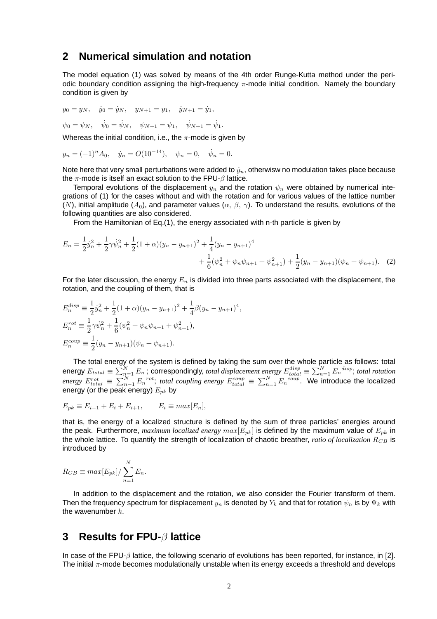#### **2 Numerical simulation and notation**

The model equation (1) was solved by means of the 4th order Runge-Kutta method under the periodic boundary condition assigning the high-frequency  $\pi$ -mode initial condition. Namely the boundary condition is given by

$$
y_0 = y_N
$$
,  $\dot{y}_0 = \dot{y}_N$ ,  $y_{N+1} = y_1$ ,  $\dot{y}_{N+1} = \dot{y}_1$ ,  
 $\psi_0 = \psi_N$ ,  $\dot{\psi}_0 = \dot{\psi}_N$ ,  $\psi_{N+1} = \psi_1$ ,  $\dot{\psi}_{N+1} = \dot{\psi}_1$ .

Whereas the initial condition, i.e., the  $\pi$ -mode is given by

$$
y_n = (-1)^n A_0
$$
,  $\dot{y}_n = O(10^{-14})$ ,  $\psi_n = 0$ ,  $\dot{\psi}_n = 0$ .

Note here that very small perturbations were added to  $y_n$ , otherwisw no modulation takes place because the  $\pi$ -mode is itself an exact solution to the FPU- $\beta$  lattice.

Temporal evolutions of the displacement  $y_n$  and the rotation  $\psi_n$  were obtained by numerical integrations of (1) for the cases without and with the rotation and for various values of the lattice number (N), initial amplitude ( $A_0$ ), and parameter values ( $\alpha$ ,  $\beta$ ,  $\gamma$ ). To understand the results, evolutions of the following quantities are also considered.

From the Hamiltonian of Eq.(1), the energy associated with n-th particle is given by

$$
E_n = \frac{1}{2}\dot{y}_n^2 + \frac{1}{2}\gamma\dot{\psi}_n^2 + \frac{1}{2}(1+\alpha)(y_n - y_{n+1})^2 + \frac{1}{4}(y_n - y_{n+1})^4 + \frac{1}{6}(\psi_n^2 + \psi_n\psi_{n+1} + \psi_{n+1}^2) + \frac{1}{2}(y_n - y_{n+1})(\psi_n + \psi_{n+1}).
$$
 (2)

For the later discussion, the energy  $E_n$  is divided into three parts associated with the displacement, the rotation, and the coupling of them, that is

$$
E_n^{disp} \equiv \frac{1}{2} \dot{y}_n^2 + \frac{1}{2} (1 + \alpha)(y_n - y_{n+1})^2 + \frac{1}{4} \beta (y_n - y_{n+1})^4,
$$
  
\n
$$
E_n^{rot} \equiv \frac{1}{2} \gamma \dot{\psi}_n^2 + \frac{1}{6} (\psi_n^2 + \psi_n \psi_{n+1} + \psi_{n+1}^2),
$$
  
\n
$$
E_n^{coup} \equiv \frac{1}{2} (y_n - y_{n+1}) (\psi_n + \psi_{n+1}).
$$

The total energy of the system is defined by taking the sum over the whole particle as follows: total energy  $E_{total}\equiv\sum_{n=1}^N E_n$  ; correspondingly, *total displacement energy*  $E_{total}^{disp}\equiv\sum_{n=1}^N E_n^{disp}$ ; *total rotation energy*  $E_{total}^{rot} \equiv \sum_{n=1}^{N} E_n^{rot}$ ; *total coupling energy*  $E_{total}^{coup} \equiv \sum_{n=1}^{N} E_n^{coup}$ . We introduce the localized energy (or the peak energy)  $E_{pk}$  by

$$
E_{pk} \equiv E_{i-1} + E_i + E_{i+1}, \qquad E_i \equiv max[E_n],
$$

that is, the energy of a localized structure is defined by the sum of three particles' energies around the peak. Furthermore, *maximum localized energy*  $max[E_{pk}]$  is defined by the maximum value of  $E_{pk}$  in the whole lattice. To quantify the strength of localization of chaotic breather, *ratio of localization*  $R_{CB}$  is introduced by

$$
R_{CB} \equiv max[E_{pk}] / \sum_{n=1}^{N} E_n.
$$

In addition to the displacement and the rotation, we also consider the Fourier transform of them. Then the frequency spectrum for displacement  $y_n$  is denoted by  $Y_k$  and that for rotation  $\psi_n$  is by  $\Psi_k$  with the wavenumber  $k$ .

#### **3 Results for FPU-**β **lattice**

In case of the FPU-β lattice, the following scenario of evolutions has been reported, for instance, in [2]. The initial  $\pi$ -mode becomes modulationally unstable when its energy exceeds a threshold and develops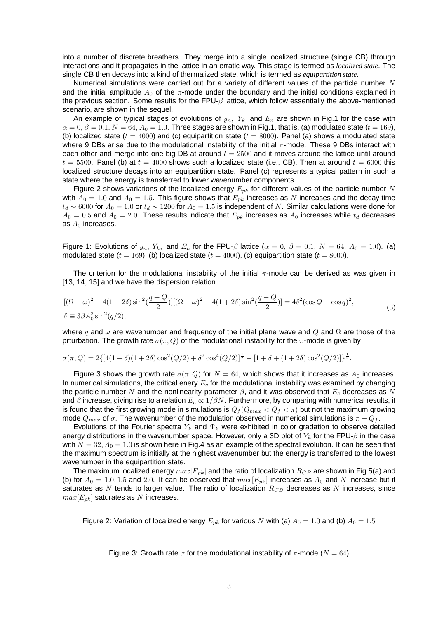into a number of discrete breathers. They merge into a single localized structure (single CB) through interactions and it propagates in the lattice in an erratic way. This stage is termed as *localized state*. The single CB then decays into a kind of thermalized state, which is termed as *equipartition state*.

Numerical simulations were carried out for a variety of different values of the particle number  $N$ and the initial amplitude  $A_0$  of the  $\pi$ -mode under the boundary and the initial conditions explained in the previous section. Some results for the FPU- $\beta$  lattice, which follow essentially the above-mentioned scenario, are shown in the sequel.

An example of typical stages of evolutions of  $y_n$ ,  $Y_k$  and  $E_n$  are shown in Fig.1 for the case with  $\alpha = 0, \beta = 0.1, N = 64, A_0 = 1.0$ . Three stages are shown in Fig.1, that is, (a) modulated state  $(t = 169)$ , (b) localized state ( $t = 4000$ ) and (c) equipartition state ( $t = 8000$ ). Panel (a) shows a modulated state where 9 DBs arise due to the modulational instability of the initial  $\pi$ -mode. These 9 DBs interact with each other and merge into one big DB at around  $t = 2500$  and it moves around the lattice until around  $t = 5500$ . Panel (b) at  $t = 4000$  shows such a localized state (i.e., CB). Then at around  $t = 6000$  this localized structure decays into an equipartition state. Panel (c) represents a typical pattern in such a state where the energy is transferred to lower wavenumber components.

Figure 2 shows variations of the localized energy  $E_{pk}$  for different values of the particle number N with  $A_0 = 1.0$  and  $A_0 = 1.5$ . This figure shows that  $E_{pk}$  increases as N increases and the decay time  $t_d \sim 6000$  for  $A_0 = 1.0$  or  $t_d \sim 1200$  for  $A_0 = 1.5$  is independent of N. Similar calculations were done for  $A_0 = 0.5$  and  $A_0 = 2.0$ . These results indicate that  $E_{pk}$  increases as  $A_0$  increases while  $t_d$  decreases as  $A_0$  increases.

Figure 1: Evolutions of  $y_n$ ,  $Y_k$ , and  $E_n$  for the FPU- $\beta$  lattice ( $\alpha = 0$ ,  $\beta = 0.1$ ,  $N = 64$ ,  $A_0 = 1.0$ ). (a) modulated state  $(t = 169)$ , (b) localized state  $(t = 4000)$ , (c) equipartition state  $(t = 8000)$ .

The criterion for the modulational instability of the initial  $\pi$ -mode can be derived as was given in [13, 14, 15] and we have the dispersion relation

$$
[(\Omega + \omega)^2 - 4(1 + 2\delta)\sin^2(\frac{q+Q}{2})] [(\Omega - \omega)^2 - 4(1 + 2\delta)\sin^2(\frac{q-Q}{2})] = 4\delta^2(\cos Q - \cos q)^2,
$$
  
\n
$$
\delta = 3\beta A_0^2 \sin^2(q/2),
$$
\n(3)

where q and  $\omega$  are wavenumber and frequency of the initial plane wave and Q and  $\Omega$  are those of the prturbation. The growth rate  $\sigma(\pi, Q)$  of the modulational instability for the  $\pi$ -mode is given by

$$
\sigma(\pi, Q) = 2\{[4(1+\delta)(1+2\delta)\cos^2(Q/2) + \delta^2\cos^4(Q/2)]^{\frac{1}{2}} - [1+\delta + (1+2\delta)\cos^2(Q/2)]\}^{\frac{1}{2}}.
$$

Figure 3 shows the growth rate  $\sigma(\pi, Q)$  for  $N = 64$ , which shows that it increases as  $A_0$  increases. In numerical simulations, the critical enery  $E_c$  for the modulational instability was examined by changing the particle number N and the nonlinearity parameter  $\beta$ , and it was observed that  $E_c$  decreases as N and  $\beta$  increase, giving rise to a relation  $E_c \propto 1/\beta N$ . Furthermore, by comparing with numerical results, it is found that the first growing mode in simulations is  $Q_f(Q_{max} < Q_f < \pi)$  but not the maximum growing mode  $Q_{max}$  of  $\sigma$ . The wavenumber of the modulation observed in numerical simulations is  $\pi - Q_f$ .

Evolutions of the Fourier spectra  $Y_k$  and  $\Psi_k$  were exhibited in color gradation to observe detailed energy distributions in the wavenumber space. However, only a 3D plot of  $Y_k$  for the FPU- $\beta$  in the case with  $N = 32, A<sub>0</sub> = 1.0$  is shown here in Fig.4 as an example of the spectral evolution. It can be seen that the maximum spectrum is initially at the highest wavenumber but the energy is transferred to the lowest wavenumber in the equipartition state.

The maximum localized energy  $max[E_{pk}]$  and the ratio of localization  $R_{CB}$  are shown in Fig.5(a) and (b) for  $A_0 = 1.0, 1.5$  and 2.0. It can be observed that  $max[E_{pk}]$  increases as  $A_0$  and N increase but it saturates as N tends to larger value. The ratio of localization  $R_{CB}$  decreases as N increases, since  $max[E_{pk}]$  saturates as N increases.

Figure 2: Variation of localized energy  $E_{pk}$  for various N with (a)  $A_0 = 1.0$  and (b)  $A_0 = 1.5$ 

Figure 3: Growth rate  $\sigma$  for the modulational instability of  $\pi$ -mode ( $N = 64$ )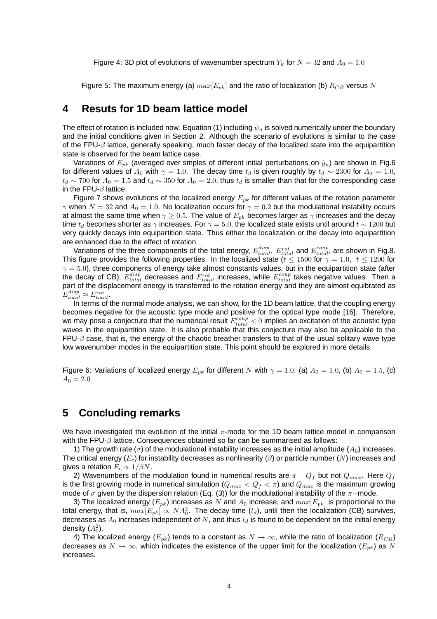Figure 4: 3D plot of evolutions of wavenumber spectrum  $Y_k$  for  $N = 32$  and  $A_0 = 1.0$ 

Figure 5: The maximum energy (a)  $max[E_{nk}]$  and the ratio of localization (b)  $R_{CB}$  versus N

## **4 Resuts for 1D beam lattice model**

The effect of rotation is included now. Equation (1) including  $\psi_n$  is solved numerically under the boundary and the initial conditions given in Section 2. Although the scenario of evolutions is similar to the case of the FPU- $\beta$  lattice, generally speaking, much faster decay of the localized state into the equipartition state is observed for the beam lattice case.

Variations of  $E_{pk}$  (averaged over smples of different initial perturbations on  $\dot{y}_n$ ) are shown in Fig.6 for different values of  $A_0$  with  $\gamma = 1.0$ . The decay time  $t_d$  is given roughly by  $t_d \sim 2300$  for  $A_0 = 1.0$ ,  $t_d \sim 700$  for  $A_0 = 1.5$  and  $t_d \sim 350$  for  $A_0 = 2.0$ , thus  $t_d$  is smaller than that for the corresponding case in the FPU- $\beta$  lattice.

Figure 7 shows evolutions of the localized energy  $E_{pk}$  for different values of the rotation parameter γ when  $N = 32$  and  $A_0 = 1.0$ . No localization occurs for  $γ = 0.2$  but the modulational instability occurs at almost the same time when  $\gamma \geq 0.5$ . The value of  $E_{pk}$  becomes larger as  $\gamma$  increases and the decay time  $t_d$  becomes shorter as  $\gamma$  increases. For  $\gamma = 5.0$ , the localized state exists until around  $t \sim 1200$  but very quickly decays into equipartition state. Thus either the localization or the decay into equipartition are enhanced due to the effect of rotation.

Variations of the three components of the total energy,  $E_{total}^{disp}$ ,  $E_{total}^{rot}$  and  $E_{total}^{coup}$ , are shown in Fig.8. This figure provides the following properties. In the localized state ( $t \le 1500$  for  $\gamma = 1.0, t \le 1200$  for  $\gamma = 5.0$ ), three components of energy take almost constants values, but in the equipartition state (after the decay of CB),  $E_{total}^{disp}$  decreases and  $E_{total}^{rot}$  increases, while  $E_{total}^{coup}$  takes negative values. Then a part of the displacement energy is transferred to the rotation energy and they are almost equibrated as  $E_{total}^{disp} \approx E_{total}^{rot}.$ 

In terms of the normal mode analysis, we can show, for the 1D beam lattice, that the coupling energy becomes negative for the acoustic type mode and positive for the optical type mode [16]. Therefore, we may pose a conjecture that the numerical result  $E^{coup}_{total} < 0$  implies an excitation of the acoustic type waves in the equipartition state. It is also probable that this conjecture may also be applicable to the FPU- $\beta$  case, that is, the energy of the chaotic breather transfers to that of the usual solitary wave type low wavenumber modes in the equipartition state. This point should be explored in more details.

Figure 6: Variations of localized energy  $E_{pk}$  for different N with  $\gamma = 1.0$ : (a)  $A_0 = 1.0$ , (b)  $A_0 = 1.5$ , (c)  $A_0 = 2.0$ 

# **5 Concluding remarks**

We have investigated the evolution of the initial  $\pi$ -mode for the 1D beam lattice model in comparison with the FPU- $\beta$  lattice. Consequences obtained so far can be summarised as follows:

1) The growth rate ( $\sigma$ ) of the modulational instability increases as the initial amplitude ( $A_0$ ) increases. The critical energy  $(E_c)$  for instability decreases as nonlinearity ( $\beta$ ) or particle number (N) increases and gives a relation  $E_c \propto 1/\beta N$ .

2) Wavenumbers of the modulation found in numerical results are  $\pi - Q_f$  but not  $Q_{max}$ . Here  $Q_f$ is the first growing mode in numerical simulation  $(Q_{max} < Q_f < \pi)$  and  $Q_{max}$  is the maximum growing mode of  $\sigma$  given by the dispersion relation (Eq. (3)) for the modulational instability of the  $\pi$ −mode.

3) The localized energy  $(E_{pk})$  increases as N and  $A_0$  increase, and  $max[E_{pk}]$  is proportional to the total energy, that is,  $max[E_{pk}] \propto NA_0^2$ . The decay time  $(t_d)$ , until then the localization (CB) survives, decreases as  $A_0$  increases independent of N, and thus  $t_d$  is found to be dependent on the initial energy density  $(A_0^2)$ .

4) The localized energy  $(E_{pk})$  tends to a constant as  $N \to \infty$ , while the ratio of localization  $(R_{CB})$ decreases as  $N \to \infty$ , which indicates the existence of the upper limit for the localization ( $E_{pk}$ ) as N increases.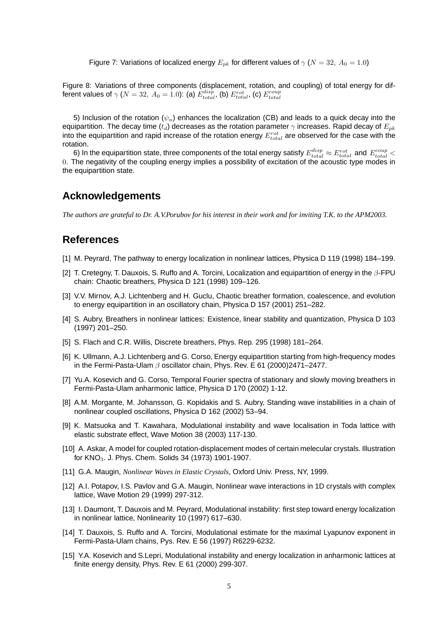Figure 7: Variations of localized energy  $E_{pk}$  for different values of  $\gamma$  ( $N = 32, A_0 = 1.0$ )

Figure 8: Variations of three components (displacement, rotation, and coupling) of total energy for different values of  $\gamma$   $(N=32,\,A_0=1.0)$ : (a)  $E_{total}^{disp}$ , (b)  $E_{total}^{rot}$ , (c)  $E_{total}^{coup}$ 

5) Inclusion of the rotation ( $\psi_n$ ) enhances the localization (CB) and leads to a quick decay into the equipartition. The decay time  $(t_d)$  decreases as the rotation parameter  $\gamma$  increases. Rapid decay of  $E_{nk}$ into the equipartition and rapid increase of the rotation energy  $E_{total}^{rot}$  are observed for the case with the rotation.

6) In the equipartition state, three components of the total energy satisfy  $E_{total}^{disp}\approx E_{total}^{rot}$  and  $E_{total}^{coup}<$ 0. The negativity of the coupling energy implies a possibility of excitation of the acoustic type modes in the equipartition state.

#### **Acknowledgements**

The authors are grateful to Dr. A.V.Porubov for his interest in their work and for inviting T.K. to the APM2003.

### **References**

- [1] M. Peyrard, The pathway to energy localization in nonlinear lattices, Physica D 119 (1998) 184–199.
- [2] T. Cretegny, T. Dauxois, S. Ruffo and A. Torcini, Localization and equipartition of energy in the  $\beta$ -FPU chain: Chaotic breathers, Physica D 121 (1998) 109–126.
- [3] V.V. Mirnov, A.J. Lichtenberg and H. Guclu, Chaotic breather formation, coalescence, and evolution to energy equipartition in an oscillatory chain, Physica D 157 (2001) 251–282.
- [4] S. Aubry, Breathers in nonlinear lattices: Existence, linear stability and quantization, Physica D 103 (1997) 201–250.
- [5] S. Flach and C.R. Willis, Discrete breathers, Phys. Rep. 295 (1998) 181–264.
- [6] K. Ullmann, A.J. Lichtenberg and G. Corso, Energy equipartition starting from high-frequency modes in the Fermi-Pasta-Ulam  $\beta$  oscillator chain, Phys. Rev. E 61 (2000)2471–2477.
- [7] Yu.A. Kosevich and G. Corso, Temporal Fourier spectra of stationary and slowly moving breathers in Fermi-Pasta-Ulam anharmonic lattice, Physica D 170 (2002) 1-12.
- [8] A.M. Morgante, M. Johansson, G. Kopidakis and S. Aubry, Standing wave instabilities in a chain of nonlinear coupled oscillations, Physica D 162 (2002) 53–94.
- [9] K. Matsuoka and T. Kawahara, Modulational instability and wave localisation in Toda lattice with elastic substrate effect, Wave Motion 38 (2003) 117-130.
- [10] A. Askar, A model for coupled rotation-displacement modes of certain melecular crystals. Illustration for KNO<sub>3</sub>. J. Phys. Chem. Solids 34 (1973) 1901-1907.
- [11] G.A. Maugin, *Nonlinear Waves in Elastic Crystals*, Oxford Univ. Press, NY, 1999.
- [12] A.I. Potapov, I.S. Pavlov and G.A. Maugin, Nonlinear wave interactions in 1D crystals with complex lattice, Wave Motion 29 (1999) 297-312.
- [13] I. Daumont, T. Dauxois and M. Peyrard, Modulational instability: first step toward energy localization in nonlinear lattice, Nonlinearity 10 (1997) 617–630.
- [14] T. Dauxois, S. Ruffo and A. Torcini, Modulational estimate for the maximal Lyapunov exponent in Fermi-Pasta-Ulam chains, Pys. Rev. E 56 (1997) R6229-6232.
- [15] Y.A. Kosevich and S.Lepri, Modulational instability and energy localization in anharmonic lattices at finite energy density, Phys. Rev. E 61 (2000) 299-307.